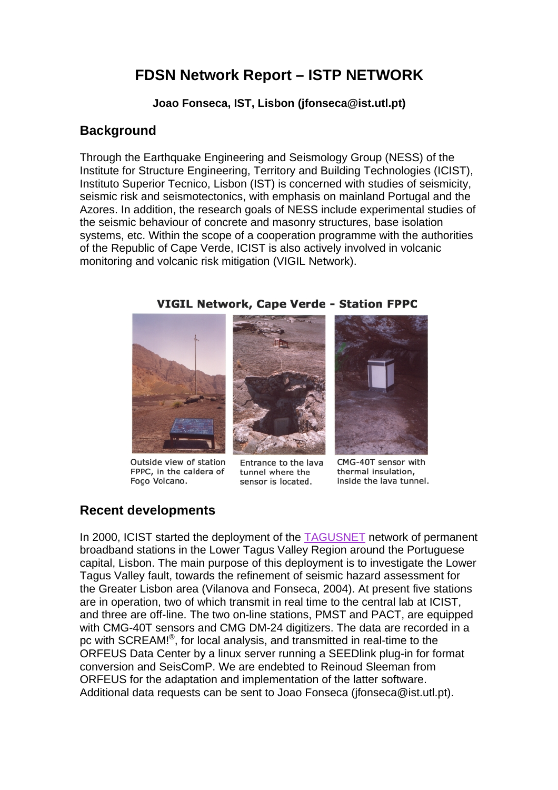# **FDSN Network Report – ISTP NETWORK**

**Joao Fonseca, IST, Lisbon (jfonseca@ist.utl.pt)** 

## **Background**

Through the Earthquake Engineering and Seismology Group (NESS) of the Institute for Structure Engineering, Territory and Building Technologies (ICIST), Instituto Superior Tecnico, Lisbon (IST) is concerned with studies of seismicity, seismic risk and seismotectonics, with emphasis on mainland Portugal and the Azores. In addition, the research goals of NESS include experimental studies of the seismic behaviour of concrete and masonry structures, base isolation systems, etc. Within the scope of a cooperation programme with the authorities of the Republic of Cape Verde, ICIST is also actively involved in volcanic monitoring and volcanic risk mitigation (VIGIL Network).



Outside view of station FPPC, in the caldera of Fogo Volcano.



Entrance to the lava tunnel where the sensor is located.



CMG-40T sensor with thermal insulation, inside the lava tunnel.

## **Recent developments**

In 2000, ICIST started the deployment of the [TAGUSNET](http://einstein.fisica.ist.utl.pt/~sismo/Portugues/Tagusnet/Tagusnet.htm) network of permanent broadband stations in the Lower Tagus Valley Region around the Portuguese capital, Lisbon. The main purpose of this deployment is to investigate the Lower Tagus Valley fault, towards the refinement of seismic hazard assessment for the Greater Lisbon area (Vilanova and Fonseca, 2004). At present five stations are in operation, two of which transmit in real time to the central lab at ICIST, and three are off-line. The two on-line stations, PMST and PACT, are equipped with CMG-40T sensors and CMG DM-24 digitizers. The data are recorded in a pc with SCREAM!®, for local analysis, and transmitted in real-time to the ORFEUS Data Center by a linux server running a SEEDlink plug-in for format conversion and SeisComP. We are endebted to Reinoud Sleeman from ORFEUS for the adaptation and implementation of the latter software. Additional data requests can be sent to Joao Fonseca (jfonseca@ist.utl.pt).

#### **VIGIL Network, Cape Verde - Station FPPC**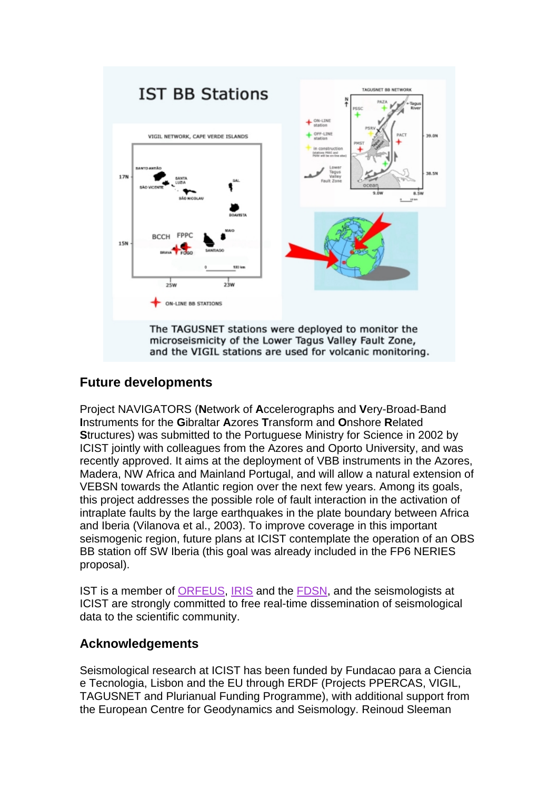

The TAGUSNET stations were deployed to monitor the microseismicity of the Lower Tagus Valley Fault Zone, and the VIGIL stations are used for volcanic monitoring.

## **Future developments**

Project NAVIGATORS (**N**etwork of **A**ccelerographs and **V**ery-Broad-Band **I**nstruments for the **G**ibraltar **A**zores **T**ransform and **O**nshore **R**elated **S**tructures) was submitted to the Portuguese Ministry for Science in 2002 by ICIST jointly with colleagues from the Azores and Oporto University, and was recently approved. It aims at the deployment of VBB instruments in the Azores, Madera, NW Africa and Mainland Portugal, and will allow a natural extension of VEBSN towards the Atlantic region over the next few years. Among its goals, this project addresses the possible role of fault interaction in the activation of intraplate faults by the large earthquakes in the plate boundary between Africa and Iberia (Vilanova et al., 2003). To improve coverage in this important seismogenic region, future plans at ICIST contemplate the operation of an OBS BB station off SW Iberia (this goal was already included in the FP6 NERIES proposal).

IST is a member of [ORFEUS,](http://orfeus.knmi.nl/) [IRIS](http://www.iris.edu/) and the [FDSN](http://www.fdsn.org/), and the seismologists at ICIST are strongly committed to free real-time dissemination of seismological data to the scientific community.

### **Acknowledgements**

Seismological research at ICIST has been funded by Fundacao para a Ciencia e Tecnologia, Lisbon and the EU through ERDF (Projects PPERCAS, VIGIL, TAGUSNET and Plurianual Funding Programme), with additional support from the European Centre for Geodynamics and Seismology. Reinoud Sleeman